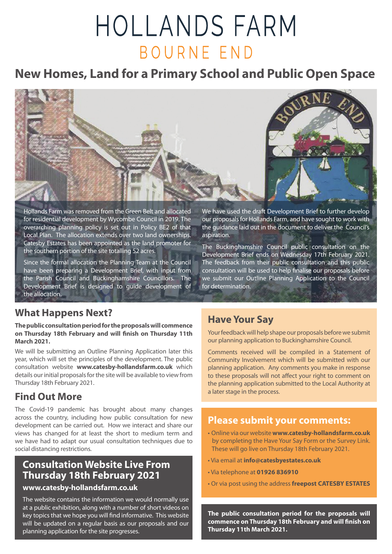# HOLLANDS FARM BOURNE END

## **New Homes, Land for a Primary School and Public Open Space**



Hollands Farm was removed from the Green Belt and allocated for residential development by Wycombe Council in 2019. The overarching planning policy is set out in Policy BE2 of that Local Plan. The allocation extends over two land ownerships. Catesby Estates has been appointed as the land promoter for the southern portion of the site totalling 52 acres.

Since the formal allocation the Planning Team at the Council have been preparing a Development Brief, with input from the Parish Council and Buckinghamshire Councillors. The Development Brief is designed to guide development of the allocation.

## **What Happens Next?**

#### **The public consultation period for the proposals will commence on Thursday 18th February and will finish on Thursday 11th March 2021.**

We will be submitting an Outline Planning Application later this year, which will set the principles of the development. The public consultation website **www.catesby-hollandsfarm.co.uk** which details our initial proposals for the site will be available to view from Thursday 18th February 2021.

## **Find Out More**

The Covid-19 pandemic has brought about many changes across the country, including how public consultation for new development can be carried out. How we interact and share our views has changed for at least the short to medium term and we have had to adapt our usual consultation techniques due to social distancing restrictions.

## **Consultation Website Live From Thursday 18th February 2021**

#### **www.catesby-hollandsfarm.co.uk**

The website contains the information we would normally use at a public exhibition, along with a number of short videos on key topics that we hope you will find informative. This website will be updated on a regular basis as our proposals and our planning application for the site progresses.

We have used the draft Development Brief to further develop our proposals for Hollands Farm, and have sought to work with the guidance laid out in the document to deliver the Council's aspiration.

The Buckinghamshire Council public consultation on the Development Brief ends on Wednesday 17th February 2021. The feedback from their public consultation and this public consultation will be used to help finalise our proposals before we submit our Outline Planning Application to the Council for determination.

## **Have Your Say**

Your feedback will help shape our proposals before we submit our planning application to Buckinghamshire Council.

Comments received will be compiled in a Statement of Community Involvement which will be submitted with our planning application. Any comments you make in response to these proposals will not affect your right to comment on the planning application submitted to the Local Authority at a later stage in the process.

## **Please submit your comments:**

- Online via our website **www.catesby-hollandsfarm.co.uk** by completing the Have Your Say Form or the Survey Link. These will go live on Thursday 18th February 2021.
- Via email at **info@catesbyestates.co.uk**
- Via telephone at **01926 836910**
- Or via post using the address **freepost CATESBY ESTATES**

**The public consultation period for the proposals will commence on Thursday 18th February and will finish on Thursday 11th March 2021.**